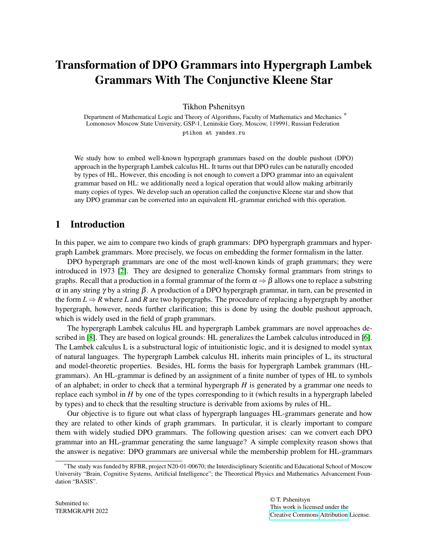# Transformation of DPO Grammars into Hypergraph Lambek Grammars With The Conjunctive Kleene Star

Tikhon Pshenitsyn

Department of Mathematical Logic and Theory of Algorithms, Faculty of Mathematics and Mechanics<sup>\*</sup> Lomonosov Moscow State University, GSP-1, Leninskie Gory, Moscow, 119991, Russian Federation ptihon at yandex.ru

We study how to embed well-known hypergraph grammars based on the double pushout (DPO) approach in the hypergraph Lambek calculus HL. It turns out that DPO rules can be naturally encoded by types of HL. However, this encoding is not enough to convert a DPO grammar into an equivalent grammar based on HL: we additionally need a logical operation that would allow making arbitrarily many copies of types. We develop such an operation called the conjunctive Kleene star and show that any DPO grammar can be converted into an equivalent HL-grammar enriched with this operation.

# 1 Introduction

In this paper, we aim to compare two kinds of graph grammars: DPO hypergraph grammars and hypergraph Lambek grammars. More precisely, we focus on embedding the former formalism in the latter.

DPO hypergraph grammars are one of the most well-known kinds of graph grammars; they were introduced in 1973 [\[2\]](#page-9-0). They are designed to generalize Chomsky formal grammars from strings to graphs. Recall that a production in a formal grammar of the form  $\alpha \Rightarrow \beta$  allows one to replace a substring  $\alpha$  in any string γ by a string  $\beta$ . A production of a DPO hypergraph grammar, in turn, can be presented in the form  $L \Rightarrow R$  where *L* and *R* are two hypergraphs. The procedure of replacing a hypergraph by another hypergraph, however, needs further clarification; this is done by using the double pushout approach, which is widely used in the field of graph grammars.

The hypergraph Lambek calculus HL and hypergraph Lambek grammars are novel approaches described in [\[8\]](#page-9-1). They are based on logical grounds: HL generalizes the Lambek calculus introduced in [\[6\]](#page-9-2). The Lambek calculus L is a substructural logic of intuitionistic logic, and it is designed to model syntax of natural languages. The hypergraph Lambek calculus HL inherits main principles of L, its structural and model-theoretic properties. Besides, HL forms the basis for hypergraph Lambek grammars (HLgrammars). An HL-grammar is defined by an assignment of a finite number of types of HL to symbols of an alphabet; in order to check that a terminal hypergraph *H* is generated by a grammar one needs to replace each symbol in *H* by one of the types corresponding to it (which results in a hypergraph labeled by types) and to check that the resulting structure is derivable from axioms by rules of HL.

Our objective is to figure out what class of hypergraph languages HL-grammars generate and how they are related to other kinds of graph grammars. In particular, it is clearly important to compare them with widely studied DPO grammars. The following question arises: can we convert each DPO grammar into an HL-grammar generating the same language? A simple complexity reason shows that the answer is negative: DPO grammars are universal while the membership problem for HL-grammars

<sup>\*</sup>The study was funded by RFBR, project N20-01-00670; the Interdisciplinary Scientific and Educational School of Moscow University "Brain, Cognitive Systems, Artificial Intelligence"; the Theoretical Physics and Mathematics Advancement Foundation "BASIS".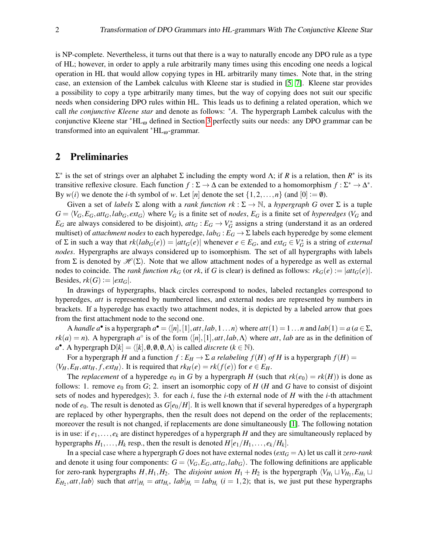is NP-complete. Nevertheless, it turns out that there is a way to naturally encode any DPO rule as a type of HL; however, in order to apply a rule arbitrarily many times using this encoding one needs a logical operation in HL that would allow copying types in HL arbitrarily many times. Note that, in the string case, an extension of the Lambek calculus with Kleene star is studied in [\[5,](#page-9-3) [7\]](#page-9-4). Kleene star provides a possibility to copy a type arbitrarily many times, but the way of copying does not suit our specific needs when considering DPO rules within HL. This leads us to defining a related operation, which we call *the conjunctive Kleene star* and denote as follows: <sup>∗</sup>*A*. The hypergraph Lambek calculus with the conjunctive Kleene star <sup>∗</sup>HL<sup>ω</sup> defined in Section [3](#page-3-0) perfectly suits our needs: any DPO grammar can be transformed into an equivalent  $*HL_{\omega}$ -grammar.

# 2 Preliminaries

 $\Sigma^*$  is the set of strings over an alphabet  $\Sigma$  including the empty word Λ; if *R* is a relation, then  $R^*$  is its transitive reflexive closure. Each function  $f : \Sigma \to \Delta$  can be extended to a homomorphism  $f : \Sigma^* \to \Delta^*$ . By  $w(i)$  we denote the *i*-th symbol of *w*. Let [*n*] denote the set  $\{1,2,\ldots,n\}$  (and  $[0] := \emptyset$ ).

Given a set of *labels*  $\Sigma$  along with a *rank function rk* :  $\Sigma \to \mathbb{N}$ , a *hypergraph G* over  $\Sigma$  is a tuple  $G = \langle V_G, E_G, att_G, lab_G, ext_G \rangle$  where  $V_G$  is a finite set of nodes,  $E_G$  is a finite set of hyperedges ( $V_G$  and  $E_G$  are always considered to be disjoint),  $att_G : E_G \to V_G^*$  assigns a string (understand it as an ordered multiset) of *attachment nodes* to each hyperedge,  $lab_G : E_G \to \Sigma$  labels each hyperedge by some element of  $\Sigma$  in such a way that  $rk(lab_G(e)) = |att_G(e)|$  whenever  $e \in E_G$ , and  $ext_G \in V_G^*$  is a string of *external nodes*. Hypergraphs are always considered up to isomorphism. The set of all hypergraphs with labels from Σ is denoted by  $\mathcal{H}(\Sigma)$ . Note that we allow attachment nodes of a hyperedge as well as external nodes to coincide. The *rank function rk<sub>G</sub>* (or *rk*, if *G* is clear) is defined as follows:  $rk_G(e) := |at_G(e)|$ . Besides,  $rk(G) := |ext_G|$ .

In drawings of hypergraphs, black circles correspond to nodes, labeled rectangles correspond to hyperedges, *att* is represented by numbered lines, and external nodes are represented by numbers in brackets. If a hyperedge has exactly two attachment nodes, it is depicted by a labeled arrow that goes from the first attachment node to the second one.

A *handle*  $a^{\bullet}$  is a hypergraph  $a^{\bullet} = \langle [n], [1], att, lab, 1...n \rangle$  where  $att(1) = 1...n$  and  $lab(1) = a$  ( $a \in \Sigma$ ,  $rk(a) = n$ ). A hypergraph *a*<sup>°</sup> is of the form  $\langle [n], [1], att, lab, \Lambda \rangle$  where *att*, *lab* are as in the definition of  $a^{\bullet}$ . A hypergraph  $D[k] = \langle [k], \emptyset, \emptyset, \emptyset, \Lambda \rangle$  is called *discrete* ( $k \in \mathbb{N}$ ).

For a hypergraph *H* and a function  $f : E_H \to \Sigma$  *a relabeling*  $f(H)$  *of H* is a hypergraph  $f(H)$  =  $\langle V_H, E_H, att_H, f, ext_H \rangle$ . It is required that  $rk_H(e) = rk(f(e))$  for  $e \in E_H$ .

The *replacement* of a hyperedge  $e_0$  in *G* by a hypergraph *H* (such that  $rk(e_0) = rk(H)$ ) is done as follows: 1. remove  $e_0$  from  $G$ ; 2. insert an isomorphic copy of  $H$  ( $H$  and  $G$  have to consist of disjoint sets of nodes and hyperedges); 3. for each *i*, fuse the *i*-th external node of *H* with the *i*-th attachment node of  $e_0$ . The result is denoted as  $G[e_0/H]$ . It is well known that if several hyperedges of a hypergraph are replaced by other hypergraphs, then the result does not depend on the order of the replacements; moreover the result is not changed, if replacements are done simultaneously [\[1\]](#page-9-5). The following notation is in use: if  $e_1, \ldots, e_k$  are distinct hyperedges of a hypergraph *H* and they are simultaneously replaced by hypergraphs  $H_1, \ldots, H_k$  resp., then the result is denoted  $H[e_1/H_1, \ldots, e_k/H_k]$ .

In a special case where a hypergraph *G* does not have external nodes (*ext<sup>G</sup>* = Λ) let us call it *zero-rank* and denote it using four components:  $G = \langle V_G, E_G, att_G, lab_G \rangle$ . The following definitions are applicable for zero-rank hypergraphs  $H, H_1, H_2$ . The *disjoint union*  $H_1 + H_2$  is the hypergraph  $\langle V_{H_1} \sqcup V_{H_2}, E_{H_1} \sqcup$  $E_{H_2}$ , *att*, *lab*) such that  $att|_{H_i} = att_{H_i}$ ,  $lab|_{H_i} = lab_{H_i}$  (*i* = 1, 2); that is, we just put these hypergraphs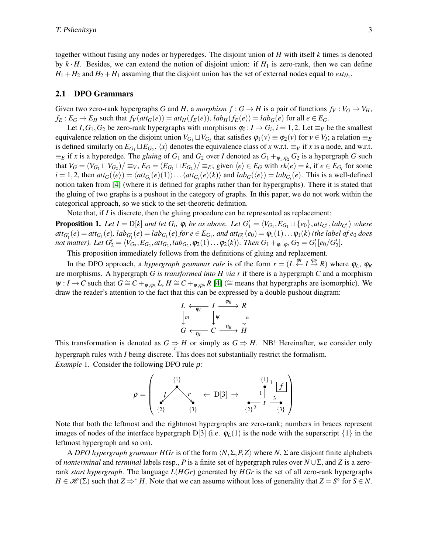together without fusing any nodes or hyperedges. The disjoint union of *H* with itself *k* times is denoted by  $k \cdot H$ . Besides, we can extend the notion of disjoint union: if  $H_1$  is zero-rank, then we can define  $H_1 + H_2$  and  $H_2 + H_1$  assuming that the disjoint union has the set of external nodes equal to  $ext_{H_1}$ .

#### 2.1 DPO Grammars

Given two zero-rank hypergraphs *G* and *H*, a *morphism*  $f : G \to H$  is a pair of functions  $f_V : V_G \to V_H$ ,  $f_E: E_G \to E_H$  such that  $f_V(at t_G(e)) = at t_H(f_E(e)), lab_H(f_E(e)) = lab_G(e)$  for all  $e \in E_G$ .

Let *I*,  $G_1$ ,  $G_2$  be zero-rank hypergraphs with morphisms  $\varphi_i$  :  $I \to G_i$ ,  $i = 1, 2$ . Let  $\equiv_V$  be the smallest equivalence relation on the disjoint union  $V_{G_1} \sqcup V_{G_2}$  that satisfies  $\varphi_1(v) \equiv \varphi_2(v)$  for  $v \in V_I$ ; a relation  $\equiv_E$ is defined similarly on  $E_{G_1} \sqcup E_{G_2}$ .  $\langle x \rangle$  denotes the equivalence class of *x* w.r.t.  $\equiv_V$  if *x* is a node, and w.r.t.  $\equiv_E$  if *x* is a hyperedge. The *gluing* of  $G_1$  and  $G_2$  over *I* denoted as  $G_1 + \varphi_1, \varphi_2$   $G_2$  is a hypergraph *G* such that  $V_G = (V_{G_1} \sqcup V_{G_2})/\equiv_V$ ,  $E_G = (E_{G_1} \sqcup E_{G_2})/\equiv_E$ ; given  $\langle e \rangle \in E_G$  with  $rk(e) = k$ , if  $e \in E_{G_i}$  for some  $i = 1, 2$ , then  $att_G(\langle e \rangle) = \langle att_{G_i}(e)(1) \rangle \dots \langle att_{G_i}(e)(k) \rangle$  and  $lab_G(\langle e \rangle) = lab_{G_i}(e)$ . This is a well-defined notion taken from [\[4\]](#page-9-6) (where it is defined for graphs rather than for hypergraphs). There it is stated that the gluing of two graphs is a pushout in the category of graphs. In this paper, we do not work within the categorical approach, so we stick to the set-theoretic definition.

Note that, if *I* is discrete, then the gluing procedure can be represented as replacement:

<span id="page-2-0"></span>**Proposition 1.** Let  $I = D[k]$  and let  $G_i$ ,  $\varphi_i$  be as above. Let  $G'_1 = \langle V_{G_1}, E_{G_1} \sqcup \{e_0\}, att_{G'_1}, lab_{G'_1} \rangle$  where  $\mathit{att}_{G_1'}(e) = \mathit{att}_{G_1}(e), \, \mathit{lab}_{G_1'}(e) = \mathit{lab}_{G_1}(e) \, \text{for} \, e \in E_{G_1}, \, \text{and} \, \mathit{att}_{G_1'}(e_0) = \varphi_1(1) \ldots \varphi_1(k) \, \text{ (the label of } e_0 \, \text{does})$ *not matter). Let*  $G'_2 = \langle V_{G_2}, E_{G_2}, att_{G_2}, lab_{G_2}, \varphi_2(1) \dots \varphi_2(k) \rangle$ *. Then*  $G_1 +_{\varphi_1, \varphi_2} G_2 = G'_1[e_0/G'_2]$ *.* 

This proposition immediately follows from the definitions of gluing and replacement.

In the DPO approach, a *hypergraph grammar rule* is of the form  $r = (L \stackrel{\phi_L}{\leftarrow} I \stackrel{\phi_R}{\rightarrow} R)$  where  $\phi_L$ ,  $\phi_R$ are morphisms. A hypergraph *G is transformed into H via r* if there is a hypergraph *C* and a morphism  $\psi: I \to C$  such that  $G \cong C +_{\psi, \varphi_L} L$ ,  $H \cong C +_{\psi, \varphi_R} R$  [\[4\]](#page-9-6) ( $\cong$  means that hypergraphs are isomorphic). We draw the reader's attention to the fact that this can be expressed by a double pushout diagram:

$$
L \leftarrow \varphi_L \quad I \xrightarrow{\varphi_R} R
$$
  

$$
\downarrow m \qquad \qquad \downarrow \psi \qquad \qquad \downarrow n
$$
  

$$
G \leftarrow \varphi_L \qquad C \xrightarrow{\eta_R} H
$$

<span id="page-2-1"></span>This transformation is denoted as  $G \Rightarrow H$  or simply as  $G \Rightarrow H$ . NB! Hereinafter, we consider only hypergraph rules with *I* being discrete. This does not substantially restrict the formalism. *Example* 1. Consider the following DPO rule *ρ*:

$$
\rho = \left(\begin{array}{ccc} \{1\} & & & \{1\}_1 \\ \hline \{1\} & & \leftarrow & \mathbf{D}[3] \rightarrow & & \mathbf{1} \\ \{2\} & & \{3\} & & \{2\}^2 \end{array}\right)
$$

Note that both the leftmost and the rightmost hypergraphs are zero-rank; numbers in braces represent images of nodes of the interface hypergraph  $D[3]$  (i.e.  $\varphi_L(1)$  is the node with the superscript  $\{1\}$  in the leftmost hypergraph and so on).

A *DPO* hypergraph grammar HGr is of the form  $\langle N, \Sigma, P, Z \rangle$  where *N*,  $\Sigma$  are disjoint finite alphabets of *nonterminal* and *terminal* labels resp., *P* is a finite set of hypergraph rules over *N* ∪Σ, and *Z* is a zerorank *start hypergraph*. The language *L*(*HGr*) generated by *HGr* is the set of all zero-rank hypergraphs  $H \in \mathcal{H}(\Sigma)$  such that  $Z \Rightarrow^* H$ . Note that we can assume without loss of generality that  $Z = S^\circ$  for  $S \in N$ .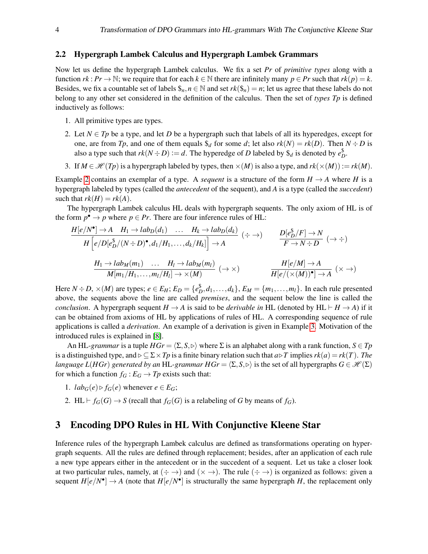#### <span id="page-3-1"></span>2.2 Hypergraph Lambek Calculus and Hypergraph Lambek Grammars

Now let us define the hypergraph Lambek calculus. We fix a set *Pr* of *primitive types* along with a function  $rk : Pr \to \mathbb{N}$ ; we require that for each  $k \in \mathbb{N}$  there are infinitely many  $p \in Pr$  such that  $rk(p) = k$ . Besides, we fix a countable set of labels  $\hat{\mathbf{s}}_n, n \in \mathbb{N}$  and set  $rk(\hat{\mathbf{s}}_n) = n$ ; let us agree that these labels do not belong to any other set considered in the definition of the calculus. Then the set of *types Tp* is defined inductively as follows:

- 1. All primitive types are types.
- 2. Let  $N \in T_p$  be a type, and let *D* be a hypergraph such that labels of all its hyperedges, except for one, are from *Tp*, and one of them equals  $\mathcal{S}_d$  for some *d*; let also  $rk(N) = rk(D)$ . Then  $N \div D$  is also a type such that  $rk(N \div D) := d$ . The hyperedge of *D* labeled by  $\$_{d}$  is denoted by  $e_D^{\$}$ .
- 3. If  $M \in \mathcal{H}(T_p)$  is a hypergraph labeled by types, then  $\times(M)$  is also a type, and  $rk(\times(M)) := rk(M)$ .

Example [2](#page-4-0) contains an exemplar of a type. A *sequent* is a structure of the form  $H \rightarrow A$  where *H* is a hypergraph labeled by types (called the *antecedent* of the sequent), and *A* is a type (called the *succedent*) such that  $rk(H) = rk(A)$ .

The hypergraph Lambek calculus HL deals with hypergraph sequents. The only axiom of HL is of the form  $p^{\bullet} \to p$  where  $p \in Pr$ . There are four inference rules of HL:

$$
\frac{H[e/N^{\bullet}] \to A \quad H_1 \to lab_D(d_1) \quad \dots \quad H_k \to lab_D(d_k)}{H[e/D[e_D^{\$}(N \div D)^{\bullet}, d_1/H_1, \dots, d_k/H_k]] \to A} \quad (\div \to) \qquad \frac{D[e_D^{\$}/F] \to N}{F \to N \div D} \quad (\to \div)
$$
\n
$$
\frac{H_1 \to lab_M(m_1) \quad \dots \quad H_l \to lab_M(m_l)}{M[m_1/H_1, \dots, m_l/H_l] \to \times (M)} \quad (\to \times) \qquad \frac{H[e/M] \to A}{H[e/((\times (M))^{\bullet}] \to A} \quad (\times \to)
$$

Here  $N \div D$ ,  $\times (M)$  are types;  $e \in E_H$ ;  $E_D = \{e_D^{\$}, d_1, \ldots, d_k\}$ ,  $E_M = \{m_1, \ldots, m_l\}$ . In each rule presented above, the sequents above the line are called *premises*, and the sequent below the line is called the *conclusion.* A hypergraph sequent  $H \to A$  is said to be *derivable in* HL (denoted by HL  $\vdash H \to A$ ) if it can be obtained from axioms of HL by applications of rules of HL. A corresponding sequence of rule applications is called a *derivation*. An example of a derivation is given in Example [3.](#page-5-0) Motivation of the introduced rules is explained in [\[8\]](#page-9-1).

An HL-grammar is a tuple  $HGr = \langle \Sigma, S, \triangleright \rangle$  where  $\Sigma$  is an alphabet along with a rank function,  $S \in T_p$ is a distinguished type, and  $\triangleright \subseteq \Sigma \times Tp$  is a finite binary relation such that  $a\triangleright T$  implies  $rk(a) = rk(T)$ . The *language L(HGr) generated by an* HL-*grammar HGr* =  $\langle \Sigma, S, \triangleright \rangle$  is the set of all hypergraphs *G*  $\in \mathcal{H}(\Sigma)$ for which a function  $f_G : E_G \to T_p$  exists such that:

- 1.  $lab_G(e) \triangleright f_G(e)$  whenever  $e \in E_G$ ;
- 2. HL  $\vdash$  *f<sub>G</sub>*(*G*)  $\rightarrow$  *S* (recall that *f<sub>G</sub>*(*G*) is a relabeling of *G* by means of *f<sub>G</sub>*).

## <span id="page-3-0"></span>3 Encoding DPO Rules in HL With Conjunctive Kleene Star

Inference rules of the hypergraph Lambek calculus are defined as transformations operating on hypergraph sequents. All the rules are defined through replacement; besides, after an application of each rule a new type appears either in the antecedent or in the succedent of a sequent. Let us take a closer look at two particular rules, namely, at  $(\div \to)$  and  $(\times \to)$ . The rule  $(\div \to)$  is organized as follows: given a sequent  $H[e/N^{\bullet}] \to A$  (note that  $H[e/N^{\bullet}]$  is structurally the same hypergraph *H*, the replacement only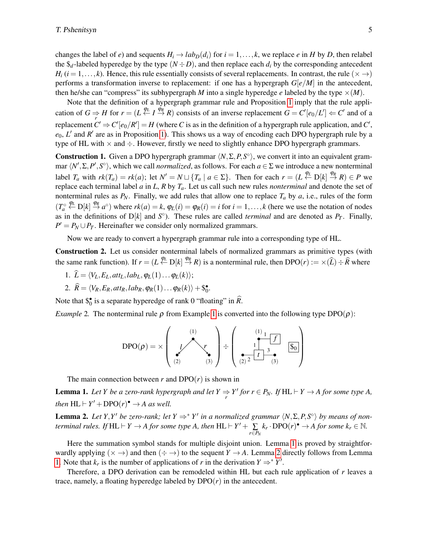changes the label of *e*) and sequents  $H_i \rightarrow lab_D(d_i)$  for  $i = 1, \ldots, k$ , we replace *e* in *H* by *D*, then relabel the  $\oint d$ -labeled hyperedge by the type  $(N \div D)$ , and then replace each  $d_i$  by the corresponding antecedent  $H_i$  (*i* = 1,...,*k*). Hence, this rule essentially consists of several replacements. In contrast, the rule ( $\times \rightarrow$ ) performs a transformation inverse to replacement: if one has a hypergraph *G*[*e*/*M*] in the antecedent, then he/she can "compress" its subhypergraph *M* into a single hyperedge *e* labeled by the type  $\times$ (*M*).

Note that the definition of a hypergraph grammar rule and Proposition [1](#page-2-0) imply that the rule application of  $G \Rightarrow H$  for  $r = (L \xleftarrow{\varphi_L} I \xrightarrow{\varphi_R} R)$  consists of an inverse replacement  $G = C'[e_0/L'] \Leftarrow C'$  and of a replacement  $C' \Rightarrow C'[e_0/R'] = H$  (where *C* is as in the definition of a hypergraph rule application, and  $C'$ ,  $e_0$ ,  $L'$  and  $R'$  are as in Proposition [1\)](#page-2-0). This shows us a way of encoding each DPO hypergraph rule by a type of HL with  $\times$  and  $\div$ . However, firstly we need to slightly enhance DPO hypergraph grammars.

<span id="page-4-3"></span>**Construction 1.** Given a DPO hypergraph grammar  $\langle N, \Sigma, P, S^{\circ} \rangle$ , we convert it into an equivalent grammar  $\langle N', \Sigma, P', S^\circ \rangle$ , which we call *normalized*, as follows. For each  $a \in \Sigma$  we introduce a new nonterminal label  $T_a$  with  $rk(T_a) = rk(a)$ ; let  $N' = N \sqcup \{T_a \mid a \in \Sigma\}$ . Then for each  $r = (L \stackrel{\phi_L}{\leftarrow} D[k] \stackrel{\phi_R}{\rightarrow} R) \in P$  we replace each terminal label *a* in *L*, *R* by *Ta*. Let us call such new rules *nonterminal* and denote the set of nonterminal rules as  $P_N$ . Finally, we add rules that allow one to replace  $T_a$  by  $a$ , i.e., rules of the form  $(T_a^{\circ} \stackrel{\varphi_L}{\leftarrow} D[k] \stackrel{\varphi_R}{\rightarrow} a^{\circ})$  where  $rk(a) = k$ ,  $\varphi_L(i) = \varphi_R(i) = i$  for  $i = 1, ..., k$  (here we use the notation of nodes as in the definitions of  $D[k]$  and  $S^{\circ}$ ). These rules are called *terminal* and are denoted as  $P_T$ . Finally,  $P' = P_N \cup P_T$ . Hereinafter we consider only normalized grammars.

Now we are ready to convert a hypergraph grammar rule into a corresponding type of HL.

<span id="page-4-4"></span>Construction 2. Let us consider nonterminal labels of normalized grammars as primitive types (with the same rank function). If  $r = (L \stackrel{\varphi_L}{\leftarrow} D[k] \stackrel{\varphi_R}{\rightarrow} R)$  is a nonterminal rule, then  $DPO(r) := \times (\widehat{L}) \div \widehat{R}$  where

- 1.  $\hat{L} = \langle V_L, E_L, att_L, lab_L, \varphi_L(1) \dots \varphi_L(k) \rangle;$
- 2.  $\widehat{R} = \langle V_R, E_R, att_R, lab_R, \varphi_R(1) \dots \varphi_R(k) \rangle + \mathcal{S}_0^{\bullet}.$

Note that  $\hat{s}_0^{\bullet}$  is a separate hyperedge of rank 0 "floating" in  $\hat{R}$ .

<span id="page-4-0"></span>*Example* 2. The nonterminal rule  $\rho$  from Example [1](#page-2-1) is converted into the following type DPO( $\rho$ ):

$$
DPO(\rho) = \times \left(\begin{array}{c} (1) \\ \downarrow \\ (2) \end{array}\right) \begin{array}{c} (1) \\ \downarrow \\ (3) \end{array}\right) \begin{array}{c} (1) \\ \downarrow \\ (2) \end{array} \begin{array}{c} (1) \\ \downarrow \\ (2) \end{array} \begin{array}{c} (3) \\ \downarrow \\ (4) \end{array} \begin{array}{c} (4) \\ \downarrow \\ (5) \end{array}
$$

The main connection between  $r$  and  $DPO(r)$  is shown in

<span id="page-4-1"></span>**Lemma 1.** Let Y be a zero-rank hypergraph and let  $Y \Rightarrow Y'$  for  $r \in P_N$ . If  $HL \vdash Y \to A$  for some type A, *then*  $HL \vdash Y' + DPO(r)^{\bullet} \rightarrow A$  *as well.* 

<span id="page-4-2"></span>**Lemma 2.** Let Y,Y' be zero-rank; let  $Y \Rightarrow^* Y'$  in a normalized grammar  $\langle N, \Sigma, P, S^\circ \rangle$  by means of non*terminal rules.* If  $HL \vdash Y \to A$  for some type A, then  $HL \vdash Y' + \sum_{r \in P_N}$  $k_r \cdot \text{DPO}(r)^{\bullet} \rightarrow A$  for some  $k_r \in \mathbb{N}$ .

Here the summation symbol stands for multiple disjoint union. Lemma [1](#page-4-1) is proved by straightforwardly applying  $(\times \rightarrow)$  and then  $(\div \rightarrow)$  to the sequent  $Y \rightarrow A$ . Lemma [2](#page-4-2) directly follows from Lemma [1.](#page-4-1) Note that  $k_r$  is the number of applications of *r* in the derivation  $Y \Rightarrow^* Y'$ .

Therefore, a DPO derivation can be remodeled within HL but each rule application of *r* leaves a trace, namely, a floating hyperedge labeled by  $DPO(r)$  in the antecedent.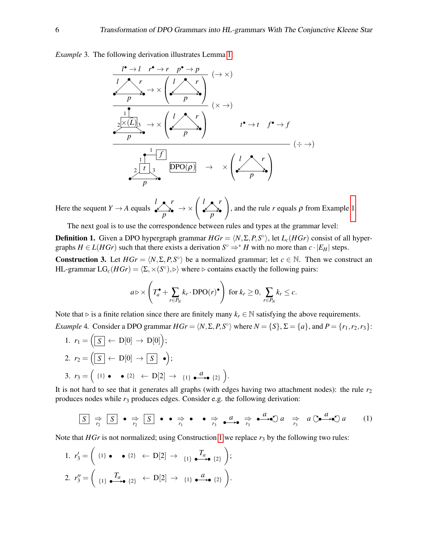<span id="page-5-0"></span>*Example* 3*.* The following derivation illustrates Lemma [1:](#page-4-1)



Here the sequent  $Y \rightarrow A$  equals *l r p*  $\rightarrow \times \left( \begin{array}{c} l & r \\ r & r \end{array} \right)$ *p*  $\setminus$ , and the rule  $r$  equals  $\rho$  from Example [1.](#page-2-1)

The next goal is to use the correspondence between rules and types at the grammar level:

**Definition 1.** Given a DPO hypergraph grammar  $HGr = \langle N, \Sigma, P, S^\circ \rangle$ , let  $L_c(HGr)$  consist of all hypergraphs  $H \in L(HGr)$  such that there exists a derivation  $S^{\circ} \Rightarrow^* H$  with no more than  $c \cdot |E_H|$  steps.

<span id="page-5-1"></span>**Construction 3.** Let  $HGr = \langle N, \Sigma, P, S^{\circ} \rangle$  be a normalized grammar; let  $c \in \mathbb{N}$ . Then we construct an HL-grammar  $LG_c(HGr) = \langle \Sigma, \times (S^\circ), \triangleright \rangle$  where  $\triangleright$  contains exactly the following pairs:

<span id="page-5-2"></span>
$$
a \triangleright \times \left(T_a^{\bullet} + \sum_{r \in P_N} k_r \cdot \text{DPO}(r)^{\bullet}\right) \text{ for } k_r \ge 0, \sum_{r \in P_N} k_r \le c.
$$

<span id="page-5-3"></span>Note that  $\triangleright$  is a finite relation since there are finitely many  $k_r \in \mathbb{N}$  satisfying the above requirements. *Example* 4. Consider a DPO grammar  $HGr = \langle N, \Sigma, P, S^\circ \rangle$  where  $N = \{S\}, \Sigma = \{a\}$ , and  $P = \{r_1, r_2, r_3\}$ :

1. 
$$
r_1 = \left(\boxed{S} \leftarrow D[0] \rightarrow D[0]\right);
$$
  
\n2.  $r_2 = \left(\boxed{S} \leftarrow D[0] \rightarrow \boxed{S} \bullet\right);$   
\n3.  $r_3 = \left(\begin{array}{ccc} \{1\} \bullet & \bullet \{2\} & \leftarrow D[2] \rightarrow \{1\} \bullet \bullet \end{array}\right; \right).$ 

It is not hard to see that it generates all graphs (with edges having two attachment nodes): the rule  $r<sub>2</sub>$ produces nodes while  $r_3$  produces edges. Consider e.g. the following derivation:

*<sup>S</sup>* <sup>⇒</sup>*r*<sup>2</sup> *<sup>S</sup>* <sup>⇒</sup>*r*<sup>2</sup> *<sup>S</sup>* <sup>⇒</sup>*r*<sup>1</sup> ⇒*r*3 *<sup>a</sup>* <sup>⇒</sup>*r*<sup>3</sup> *a a* ⇒*r*3 *a a a* (1)

Note that *HGr* is not normalized; using Construction [1](#page-4-3) we replace  $r_3$  by the following two rules:

1. 
$$
r'_3 = \begin{pmatrix} \{1\} \bullet \bullet \{2\} & \leftarrow D[2] \to \{1\} \bullet \bullet \bullet \{2\} \end{pmatrix};
$$
  
\n2.  $r''_3 = \begin{pmatrix} T_a & T_{a\bullet} & \{2\} & \leftarrow D[2] \to \{1\} \bullet \bullet \bullet \{2\} \end{pmatrix}.$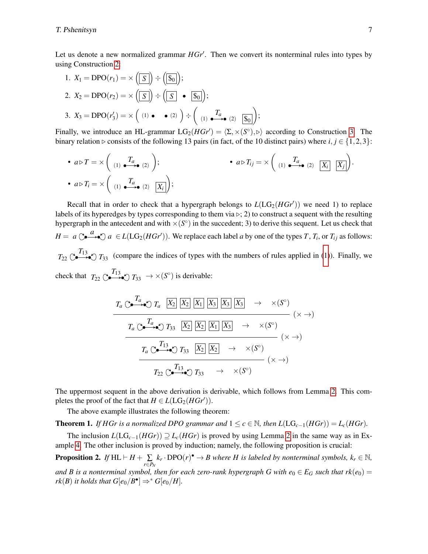Let us denote a new normalized grammar  $HGr'$ . Then we convert its nonterminal rules into types by using Construction [2:](#page-4-4)

1. 
$$
X_1 = DPO(r_1) = \times (\boxed{S}) \div (\boxed{\$\_0})
$$
;  
\n2.  $X_2 = DPO(r_2) = \times (\boxed{S}) \div (\boxed{S} \bullet \boxed{\$\_0})$ ;  
\n3.  $X_3 = DPO(r'_3) = \times (4.1 \bullet \bullet (2.1)) \div (4.1 \bullet \rightarrow (2.1))$ 

Finally, we introduce an HL-grammar  $LG_2(HGr') = \langle \Sigma, \times (S^{\circ}), \triangleright \rangle$  according to Construction [3.](#page-5-1) The binary relation  $\triangleright$  consists of the following 13 pairs (in fact, of the 10 distinct pairs) where *i*, *j* ∈ {1,2,3}:

• 
$$
a \triangleright T = \times \begin{pmatrix} T_a & \overline{I_a} \\ (1) & \xrightarrow{\mathbf{I}_a} (2) \end{pmatrix};
$$
   
•  $a \triangleright T_i = \times \begin{pmatrix} T_a & \overline{I_a} \\ (1) & \xrightarrow{\mathbf{I}_a} (2) \end{pmatrix};$ 

Recall that in order to check that a hypergraph belongs to  $L(LG_2(HGr'))$  we need 1) to replace labels of its hyperedges by types corresponding to them via  $\triangleright;$  2) to construct a sequent with the resulting hypergraph in the antecedent and with  $\times (S^{\circ})$  in the succedent; 3) to derive this sequent. Let us check that  $H = a \bigcirc \bigcirc \bigcirc a \in L(\mathrm{LG}_2(HGr'))$ . We replace each label *a* by one of the types *T*, *T<sub>i</sub>*, or *T<sub>ij</sub>* as follows:  $T_{22} \circ T_{33}$  (compare the indices of types with the numbers of rules applied in [\(1\)](#page-5-2)). Finally, we check that  $T_{22} \nightharpoonup_{\bullet} T_{13} \rightarrow \times (S^{\circ})$  is derivable:

$$
T_a \circlearrowleft^{\mathcal{T}_a} \overbrace{\bigcirc \bullet^{\mathcal{T}_a}}^{\mathcal{T}_a} \overbrace{\bigtimes_2} \overbrace{\big[ X_2 \big] \big[ X_1 \big] \big[ X_3 \big] \big[ X_3 \big] }^{\mathcal{T}_a} \overbrace{\big[ X_3 \big] \big[ X_3 \big] }^{\mathcal{T}_a} \longrightarrow \times (S^c)
$$
\n
$$
T_a \circlearrowleft^{\mathcal{T}_a} \overbrace{\bigcirc \bullet^{\mathcal{T}_1} \bullet^{\mathcal{T}_2} \big[ X_3 \big] \big[ X_2 \big] \big[ X_1 \big] \big[ X_3 \big] \longrightarrow \times (S^c)
$$
\n
$$
T_a \circlearrowleft^{\mathcal{T}_{13}} \overbrace{\bigcirc} \big[ X_3 \big] \overbrace{\big[ X_2 \big] \big[ X_2 \big]}^{\mathcal{T}_1} \longrightarrow \times (S^c)
$$
\n
$$
T_{22} \circlearrowleft^{\mathcal{T}_{13}} \overbrace{\bigcirc} \big[ X_3 \big] \longrightarrow \times (S^c)
$$
\n
$$
T_{33} \longrightarrow \times (S^c)
$$

The uppermost sequent in the above derivation is derivable, which follows from Lemma [2.](#page-4-2) This completes the proof of the fact that  $H \in L(LG_2(HGr'))$ .

The above example illustrates the following theorem:

<span id="page-6-0"></span>**Theorem 1.** *If HGr is a normalized DPO grammar and*  $1 \leq c \in \mathbb{N}$ , *then*  $L(LG_{c-1}(HGr)) = L_c(HGr)$ .

The inclusion  $L(LG_{c-1}(HGr)) \supseteq L_c(HGr)$  is proved by using Lemma [2](#page-4-2) in the same way as in Example [4.](#page-5-3) The other inclusion is proved by induction; namely, the following proposition is crucial:

 $\textbf{Proposition 2.} \ \textit{If}\ \text{HL}\vdash H + \sum\limits_{r\in P_N}$  $k_r \cdot \text{DPO}(r)$ <sup>•</sup>  $\rightarrow B$  where *H* is labeled by nonterminal symbols,  $k_r \in \mathbb{N}$ , *and B is a nonterminal symbol, then for each zero-rank hypergraph G with*  $e_0 \in E_G$  *such that*  $rk(e_0) =$ *rk*(*B*) *it holds that*  $G[e_0/B^{\bullet}] \Rightarrow^* G[e_0/H]$ *.*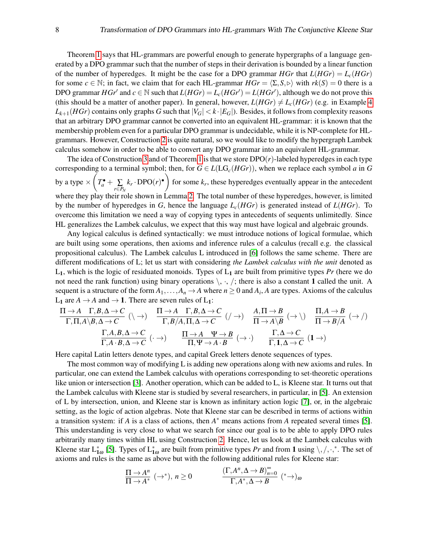Theorem [1](#page-6-0) says that HL-grammars are powerful enough to generate hypergraphs of a language generated by a DPO grammar such that the number of steps in their derivation is bounded by a linear function of the number of hyperedges. It might be the case for a DPO grammar  $HGr$  that  $L(HGr) = L_c(HGr)$ for some  $c \in \mathbb{N}$ ; in fact, we claim that for each HL-grammar  $HGr = \langle \Sigma, S, \rangle$  with  $rk(S) = 0$  there is a DPO grammar  $HGr'$  and  $c \in \mathbb{N}$  such that  $L(HGr) = L_c(HGr') = L(HGr')$ , although we do not prove this (this should be a matter of another paper). In general, however,  $L(HGr) \neq L_c(HGr)$  (e.g. in Example [4](#page-5-3))  $L_{k+1}(HGr)$  contains only graphs *G* such that  $|V_G| < k \cdot |E_G|$ ). Besides, it follows from complexity reasons that an arbitrary DPO grammar cannot be converted into an equivalent HL-grammar: it is known that the membership problem even for a particular DPO grammar is undecidable, while it is NP-complete for HLgrammars. However, Construction [2](#page-4-4) is quite natural, so we would like to modify the hypergraph Lambek calculus somehow in order to be able to convert any DPO grammar into an equivalent HL-grammar.

The idea of Construction [3](#page-5-1) and of Theorem [1](#page-6-0) is that we store  $DPO(r)$ -labeled hyperedges in each type corresponding to a terminal symbol; then, for  $G \in L(LG_c(HGr))$ , when we replace each symbol *a* in *G* by a type  $\times \left(T_a^{\bullet} + \sum_{r \in P_N} \right)$  $(k_r \cdot \text{DPO}(r)^{\bullet})$  for some  $k_r$ , these hyperedges eventually appear in the antecedent where they play their role shown in Lemma [2.](#page-4-2) The total number of these hyperedges, however, is limited by the number of hyperedges in *G*, hence the language *Lc*(*HGr*) is generated instead of *L*(*HGr*). To overcome this limitation we need a way of copying types in antecedents of sequents unlimitedly. Since HL generalizes the Lambek calculus, we expect that this way must have logical and algebraic grounds.

Any logical calculus is defined syntactically: we must introduce notions of logical formulae, which are built using some operations, then axioms and inference rules of a calculus (recall e.g. the classical propositional calculus). The Lambek calculus L introduced in [\[6\]](#page-9-2) follows the same scheme. There are different modifications of L; let us start with considering *the Lambek calculus with the unit* denoted as L1, which is the logic of residuated monoids. Types of L<sup>1</sup> are built from primitive types *Pr* (here we do not need the rank function) using binary operations  $\langle \cdot, \cdot, \cdot \rangle$ ; there is also a constant 1 called the unit. A sequent is a structure of the form  $A_1, \ldots, A_n \to A$  where  $n \ge 0$  and  $A_i$ , A are types. Axioms of the calculus L<sub>1</sub> are  $A \rightarrow A$  and  $\rightarrow 1$ . There are seven rules of L<sub>1</sub>:

$$
\frac{\Pi \to A \quad \Gamma, B, \Delta \to C}{\Gamma, \Pi, A \setminus B, \Delta \to C} \quad (\setminus \to) \quad \frac{\Pi \to A \quad \Gamma, B, \Delta \to C}{\Gamma, B/A, \Pi, \Delta \to C} \quad (\to) \quad \frac{A, \Pi \to B}{\Pi \to A \setminus B} \quad (\to \setminus) \quad \frac{\Pi, A \to B}{\Pi \to B/A} \quad (\to \neq)
$$
\n
$$
\frac{\Gamma, A, B, \Delta \to C}{\Gamma, A \cdot B, \Delta \to C} \quad (\cdot \to) \quad \frac{\Pi \to A \quad \Psi \to B}{\Pi, \Psi \to A \cdot B} \quad (\to \cdot) \quad \frac{\Gamma, \Delta \to C}{\Gamma, 1, \Delta \to C} \quad (1 \to)
$$

Here capital Latin letters denote types, and capital Greek letters denote sequences of types.

The most common way of modifying L is adding new operations along with new axioms and rules. In particular, one can extend the Lambek calculus with operations corresponding to set-theoretic operations like union or intersection [\[3\]](#page-9-7). Another operation, which can be added to L, is Kleene star. It turns out that the Lambek calculus with Kleene star is studied by several researchers, in particular, in [\[5\]](#page-9-3). An extension of L by intersection, union, and Kleene star is known as infinitary action logic [\[7\]](#page-9-4), or, in the algebraic setting, as the logic of action algebras. Note that Kleene star can be described in terms of actions within a transition system: if *A* is a class of actions, then  $A^*$  means actions from *A* repeated several times [\[5\]](#page-9-3). This understanding is very close to what we search for since our goal is to be able to apply DPO rules arbitrarily many times within HL using Construction [2.](#page-4-4) Hence, let us look at the Lambek calculus with Kleene star  $L_{1\omega}^*$  [\[5\]](#page-9-3). Types of  $L_{1\omega}^*$  are built from primitive types *Pr* and from 1 using  $\setminus$ ,  $\setminus$ ,  $\cdot$ ,  $*$ . The set of axioms and rules is the same as above but with the following additional rules for Kleene star:

$$
\frac{\Pi \to A^n}{\Pi \to A^*} \; (\to^*), \, n \ge 0 \qquad \qquad \frac{(\Gamma, A^n, \Delta \to B)^{\infty}_{n=0}}{\Gamma, A^*, \Delta \to B} \; (\text{``})_{\omega}
$$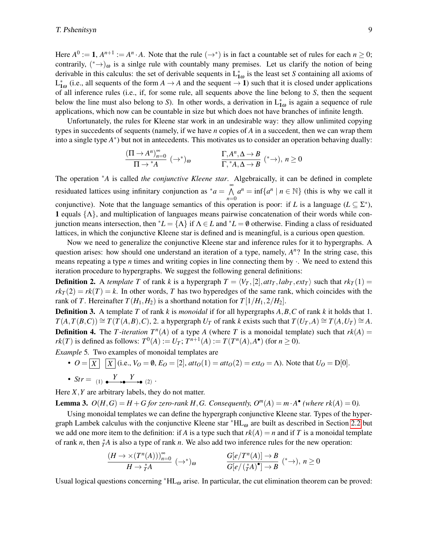Here  $A^0 := 1$ ,  $A^{n+1} := A^n \cdot A$ . Note that the rule  $(\rightarrow^*)$  is in fact a countable set of rules for each  $n \ge 0$ ; contrarily,  $(*\rightarrow)_{\omega}$  is a sinlge rule with countably many premises. Let us clarify the notion of being derivable in this calculus: the set of derivable sequents in  $L_{1\omega}^*$  is the least set *S* containing all axioms of  $L_{1\omega}^*$  (i.e., all sequents of the form  $A \to A$  and the sequent  $\to 1$ ) such that it is closed under applications of all inference rules (i.e., if, for some rule, all sequents above the line belong to *S*, then the sequent below the line must also belong to *S*). In other words, a derivation in  $L_{1\omega}^*$  is again a sequence of rule applications, which now can be countable in size but which does not have branches of infinite length.

Unfortunately, the rules for Kleene star work in an undesirable way: they allow unlimited copying types in succedents of sequents (namely, if we have *n* copies of *A* in a succedent, then we can wrap them into a single type  $A^*$ ) but not in antecedents. This motivates us to consider an operation behaving dually:

$$
\frac{(\Pi \to A^n)_{n=0}^{\infty}}{\Pi \to {^*A}} \; (\to^*)_{\omega} \qquad \qquad \frac{\Gamma, A^n, \Delta \to B}{\Gamma, {^*A}, \Delta \to B} \; ({^*} \to), \; n \ge 0
$$

The operation <sup>∗</sup>*A* is called *the conjunctive Kleene star*. Algebraically, it can be defined in complete residuated lattices using infinitary conjunction as  $^*a = \tilde{\wedge}$ *n*=0  $a^n = \inf\{a^n \mid n \in \mathbb{N}\}\$  (this is why we call it conjunctive). Note that the language semantics of this operation is poor: if *L* is a language ( $L \subseteq \Sigma^*$ ), 1 equals  $\{\Lambda\}$ , and multiplication of languages means pairwise concatenation of their words while conjunction means intersection, then <sup>\*</sup>*L* = { $\Lambda$ } if  $\Lambda \in L$  and <sup>\*</sup>*L* = 0 otherwise. Finding a class of residuated lattices, in which the conjunctive Kleene star is defined and is meaningful, is a curious open question.

Now we need to generalize the conjunctive Kleene star and inference rules for it to hypergraphs. A question arises: how should one understand an iteration of a type, namely,  $A<sup>n</sup>$ ? In the string case, this means repeating a type *n* times and writing copies in line connecting them by  $\cdot$ . We need to extend this iteration procedure to hypergraphs. We suggest the following general definitions:

**Definition 2.** A *template T* of rank *k* is a hypergraph  $T = \langle V_T, [2], att_T, lab_T, ext_T \rangle$  such that  $rk_T(1) =$  $rk_T(2) = rk(T) = k$ . In other words, *T* has two hyperedges of the same rank, which coincides with the rank of *T*. Hereinafter  $T(H_1, H_2)$  is a shorthand notation for  $T[1/H_1, 2/H_2]$ .

Definition 3. A template *T* of rank *k* is *monoidal* if for all hypergraphs *A*,*B*,*C* of rank *k* it holds that 1.  $T(A, T(B, C)) \cong T(T(A, B), C)$ , 2. a hypergraph  $U_T$  of rank k exists such that  $T(U_T, A) \cong T(A, U_T) \cong A$ . **Definition 4.** The *T*-iteration  $T^n(A)$  of a type *A* (where *T* is a monoidal template) such that  $rk(A)$  = *rk*(*T*) is defined as follows:  $T^0(A) := U_T$ ;  $T^{n+1}(A) := T(T^n(A), A^{\bullet})$  (for  $n \ge 0$ ).

*Example* 5*.* Two examples of monoidal templates are

• 
$$
O = \underline{X} \underline{X}
$$
  $\underline{X}$  (i.e.,  $V_O = \emptyset$ ,  $E_O = [2]$ ,  $atto(1) = atto(2) = ext_O = \Lambda$ ). Note that  $U_O = D[0]$ .  
\n•  $Str = \underline{Y} \underbrace{Y} \underbrace{Y} \underbrace{Y} \underbrace{Y} \underbrace{Y} \underbrace{Y} \underbrace{Y} \underbrace{Y} \underbrace{Y} \underbrace{Y} \underbrace{Y} \underbrace{Y} \underbrace{Y} \underbrace{Y} \underbrace{Y} \underbrace{Y} \underbrace{Y} \underbrace{Y} \underbrace{Y} \underbrace{Y} \underbrace{Y} \underbrace{Y} \underbrace{Y} \underbrace{Y} \underbrace{Y} \underbrace{Y} \underbrace{Y} \underbrace{Y} \underbrace{Y} \underbrace{Y} \underbrace{Y} \underbrace{Y} \underbrace{Y} \underbrace{Y} \underbrace{Y} \underbrace{Y} \underbrace{Y} \underbrace{Y} \underbrace{Y} \underbrace{Y} \underbrace{Y} \underbrace{Y} \underbrace{Y} \underbrace{Y} \underbrace{Y} \underbrace{Y} \underbrace{Y} \underbrace{Y} \underbrace{Y} \underbrace{Y} \underbrace{Y} \underbrace{Y} \underbrace{Y} \underbrace{Y} \underbrace{Y} \underbrace{Y} \underbrace{Y} \underbrace{Y} \underbrace{Y} \underbrace{Y} \underbrace{Y} \underbrace{Y} \underbrace{Y} \underbrace{Y} \underbrace{Y} \underbrace{Y} \underbrace{Y} \underbrace{Y} \underbrace{Y} \underbrace{Y} \underbrace{Y} \underbrace{Y} \underbrace{Y} \underbrace{Y} \underbrace{Y} \underbrace{Y} \underbrace{Y} \underbrace{Y} \underbrace{Y} \underbrace{Y} \underbrace{Y} \underbrace{Y} \underbrace{Y} \underbrace{Y} \underbrace{Y} \underbrace{Y} \underbrace{Y} \underbrace{Y} \underbrace{Y} \underbrace{Y} \underbrace{Y} \underbrace{Y} \underbrace{Y} \underbrace{Y} \underbrace{Y} \underbrace{Y} \underbrace{Y} \underbrace{Y} \underbrace{Y} \underbrace{Y} \underbrace{Y} \underbrace{Y} \underbrace{Y} \underbrace{Y} \underbrace{Y} \underbrace{Y} \underbrace{Y} \underbrace{Y} \underbrace{Y} \underbrace{Y} \under$ 

Here *X*,*Y* are arbitrary labels, they do not matter.

**Lemma 3.**  $O(H, G) = H + G$  for zero-rank H, G. Consequently,  $O^m(A) = m \cdot A^{\bullet}$  (where  $rk(A) = 0$ ).

Using monoidal templates we can define the hypergraph conjunctive Kleene star. Types of the hyper-graph Lambek calculus with the conjunctive Kleene star \*HL<sub>ω</sub> are built as described in Section [2.2](#page-3-1) but we add one more item to the definition: if *A* is a type such that  $rk(A) = n$  and if *T* is a monoidal template of rank *n*, then  $^*_{T}A$  is also a type of rank *n*. We also add two inference rules for the new operation:

$$
\frac{(H \to \times (T^n(A)))_{n=0}^{\infty}}{H \to \overset{*}{T}A} \quad (\to^*)_{\omega} \qquad \qquad \frac{G[e/T^n(A)] \to B}{G[e/(\overset{*}{T}A)^{\bullet}] \to B} \quad (* \to), \ n \ge 0
$$

Usual logical questions concerning  $*HL_{\omega}$  arise. In particular, the cut elimination theorem can be proved: